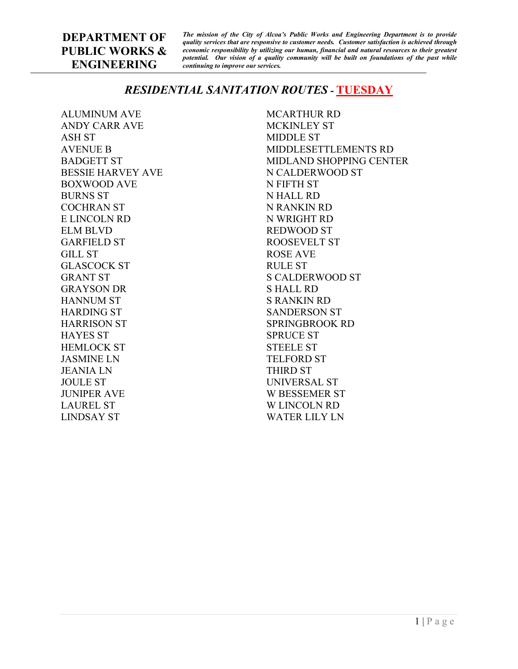*The mission of the City of Alcoa's Public Works and Engineering Department is to provide quality services that are responsive to customer needs. Customer satisfaction is achieved through economic responsibility by utilizing our human, financial and natural resources to their greatest potential. Our vision of a quality community will be built on foundations of the past while continuing to improve our services.*

# *RESIDENTIAL SANITATION ROUTES -* **TUESDAY**

ALUMINUM AVE ANDY CARR AVE ASH ST AVENUE B BADGETT ST BESSIE HARVEY AVE BOXWOOD AVE BURNS ST COCHRAN ST E LINCOLN RD ELM BLVD GARFIELD ST GILL ST GLASCOCK ST GRANT ST GRAYSON DR HANNUM ST HARDING ST HARRISON ST HAYES ST HEMLOCK ST JASMINE LN JEANIA LN JOULE ST JUNIPER AVE LAUREL ST LINDSAY ST

MCARTHUR RD MCKINLEY ST MIDDLE ST MIDDLESETTLEMENTS RD MIDLAND SHOPPING CENTER N CALDERWOOD ST N FIFTH ST N HALL RD N RANKIN RD N WRIGHT RD REDWOOD ST ROOSEVELT ST ROSE AVE RULE ST S CALDERWOOD ST S HALL RD S RANKIN RD SANDERSON ST SPRINGBROOK RD SPRUCE ST STEELE ST TELFORD ST THIRD ST UNIVERSAL ST W BESSEMER ST W LINCOLN RD WATER LILY LN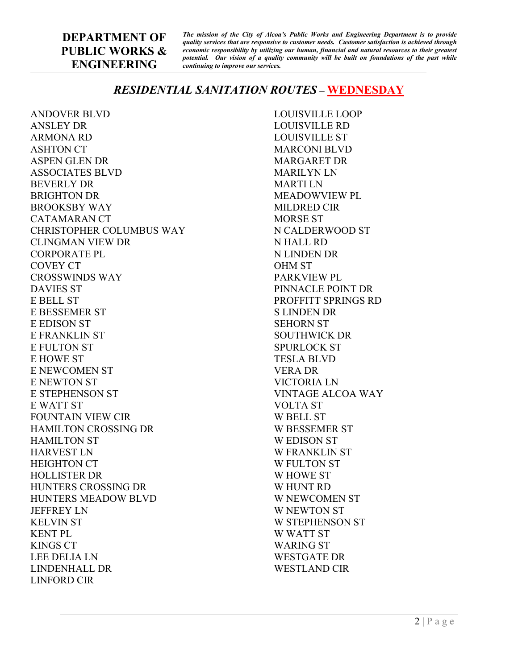*The mission of the City of Alcoa's Public Works and Engineering Department is to provide quality services that are responsive to customer needs. Customer satisfaction is achieved through economic responsibility by utilizing our human, financial and natural resources to their greatest potential. Our vision of a quality community will be built on foundations of the past while continuing to improve our services.*

## *RESIDENTIAL SANITATION ROUTES –* **WEDNESDAY**

ANDOVER BLVD ANSLEY DR ARMONA RD ASHTON CT ASPEN GLEN DR ASSOCIATES BLVD BEVERLY DR BRIGHTON DR BROOKSBY WAY CATAMARAN CT CHRISTOPHER COLUMBUS WAY CLINGMAN VIEW DR CORPORATE PL COVEY CT CROSSWINDS WAY DAVIES ST E BELL ST E BESSEMER ST E EDISON ST E FRANKLIN ST E FULTON ST E HOWE ST E NEWCOMEN ST E NEWTON ST E STEPHENSON ST E WATT ST FOUNTAIN VIEW CIR HAMILTON CROSSING DR HAMILTON ST HARVEST LN HEIGHTON CT HOLLISTER DR HUNTERS CROSSING DR HUNTERS MEADOW BLVD JEFFREY LN KELVIN ST KENT PL KINGS CT LEE DELIA LN LINDENHALL DR LINFORD CIR

LOUISVILLE LOOP LOUISVILLE RD LOUISVILLE ST MARCONI BLVD MARGARET DR MARILYN LN MARTI LN MEADOWVIEW PL MILDRED CIR MORSE ST N CALDERWOOD ST N HALL RD N LINDEN DR OHM ST PARKVIEW PL PINNACLE POINT DR PROFFITT SPRINGS RD S LINDEN DR SEHORN ST SOUTHWICK DR SPURLOCK ST TESLA BLVD VERA DR VICTORIA LN VINTAGE ALCOA WAY VOLTA ST W BELL ST W BESSEMER ST W EDISON ST W FRANKLIN ST W FULTON ST W HOWE ST W HUNT RD W NEWCOMEN ST W NEWTON ST W STEPHENSON ST W WATT ST WARING ST WESTGATE DR WESTLAND CIR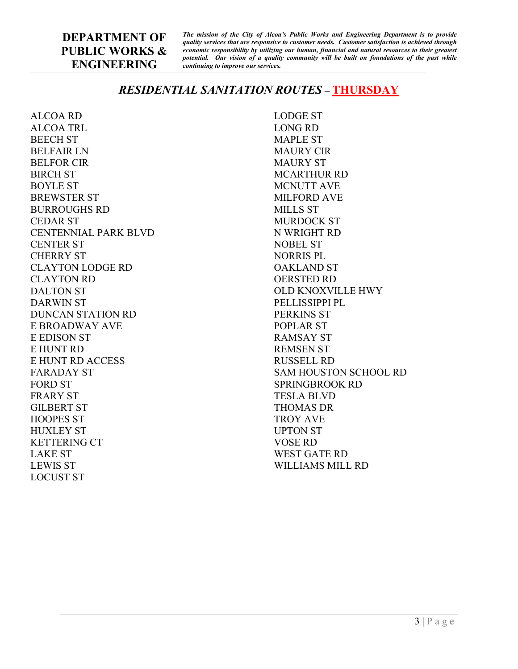*The mission of the City of Alcoa's Public Works and Engineering Department is to provide quality services that are responsive to customer needs. Customer satisfaction is achieved through economic responsibility by utilizing our human, financial and natural resources to their greatest potential. Our vision of a quality community will be built on foundations of the past while continuing to improve our services.*

# *RESIDENTIAL SANITATION ROUTES –* **THURSDAY**

ALCOA RD ALCOA TRL BEECH ST BELFAIR LN BELFOR CIR BIRCH ST BOYLE ST BREWSTER ST BURROUGHS RD CEDAR ST CENTENNIAL PARK BLVD CENTER ST CHERRY ST CLAYTON LODGE RD CLAYTON RD DALTON ST DARWIN ST DUNCAN STATION RD E BROADWAY AVE E EDISON ST E HUNT RD E HUNT RD ACCESS FARADAY ST FORD ST FRARY ST GILBERT ST HOOPES ST HUXLEY ST KETTERING CT LAKE ST LEWIS ST LOCUST ST

LODGE ST LONG RD MAPLE ST MAURY CIR MAURY ST MCARTHUR RD MCNUTT AVE MILFORD AVE MILLS ST MURDOCK ST N WRIGHT RD NOBEL ST NORRIS PL OAKLAND ST OERSTED RD OLD KNOXVILLE HWY PELLISSIPPI PL PERKINS ST POPLAR ST RAMSAY ST REMSEN ST RUSSELL RD SAM HOUSTON SCHOOL RD SPRINGBROOK RD TESLA BLVD THOMAS DR TROY AVE UPTON ST VOSE RD WEST GATE RD WILLIAMS MILL RD